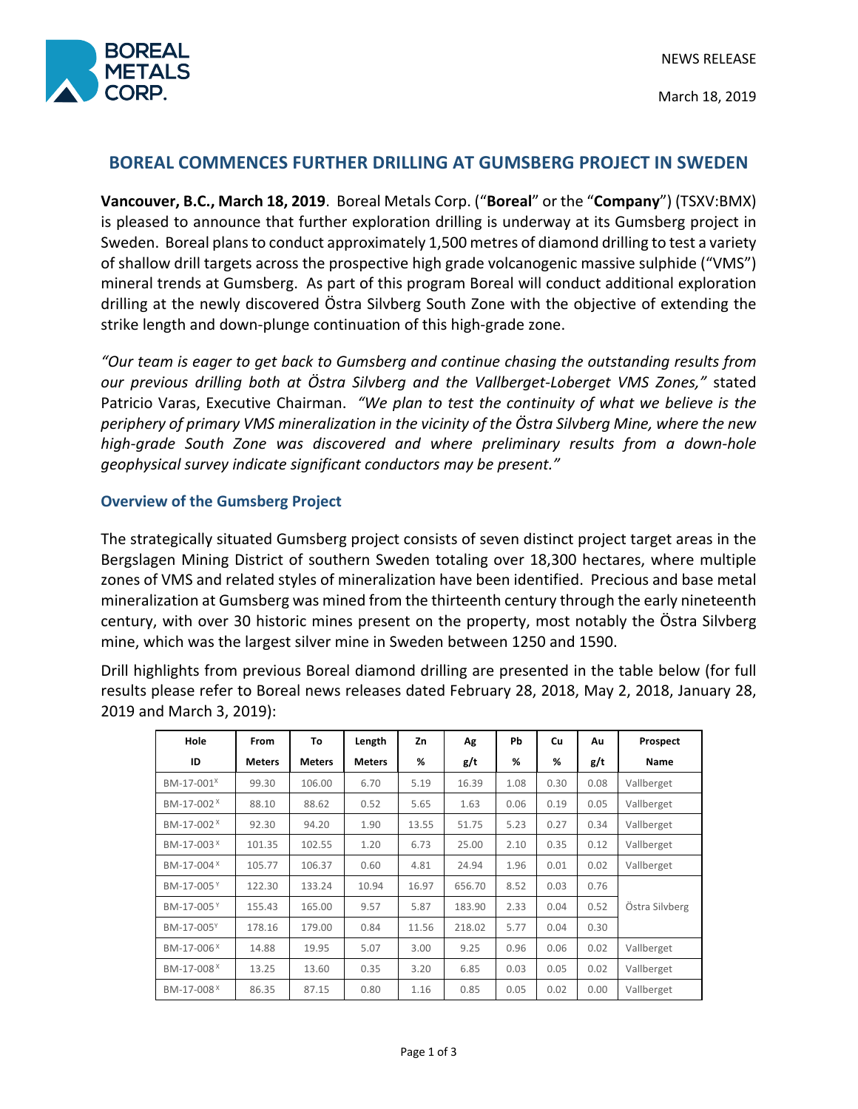

March 18, 2019

# **BOREAL COMMENCES FURTHER DRILLING AT GUMSBERG PROJECT IN SWEDEN**

**Vancouver, B.C., March 18, 2019**. Boreal Metals Corp. ("**Boreal**" or the "**Company**") (TSXV:BMX) is pleased to announce that further exploration drilling is underway at its Gumsberg project in Sweden. Boreal plans to conduct approximately 1,500 metres of diamond drilling to test a variety of shallow drill targets across the prospective high grade volcanogenic massive sulphide ("VMS") mineral trends at Gumsberg. As part of this program Boreal will conduct additional exploration drilling at the newly discovered Östra Silvberg South Zone with the objective of extending the strike length and down-plunge continuation of this high-grade zone.

*"Our team is eager to get back to Gumsberg and continue chasing the outstanding results from our previous drilling both at Östra Silvberg and the Vallberget-Loberget VMS Zones,"* stated Patricio Varas, Executive Chairman. *"We plan to test the continuity of what we believe is the periphery of primary VMS mineralization in the vicinity of the Östra Silvberg Mine, where the new high-grade South Zone was discovered and where preliminary results from a down-hole geophysical survey indicate significant conductors may be present."*

## **Overview of the Gumsberg Project**

The strategically situated Gumsberg project consists of seven distinct project target areas in the Bergslagen Mining District of southern Sweden totaling over 18,300 hectares, where multiple zones of VMS and related styles of mineralization have been identified. Precious and base metal mineralization at Gumsberg was mined from the thirteenth century through the early nineteenth century, with over 30 historic mines present on the property, most notably the Östra Silvberg mine, which was the largest silver mine in Sweden between 1250 and 1590.

Drill highlights from previous Boreal diamond drilling are presented in the table below (for full results please refer to Boreal news releases dated February 28, 2018, May 2, 2018, January 28, 2019 and March 3, 2019):

| Hole                   | <b>From</b>   | To            | Length        | Zn    | Ag     | <b>Pb</b> | <b>Cu</b> | Au   | Prospect       |
|------------------------|---------------|---------------|---------------|-------|--------|-----------|-----------|------|----------------|
| ID                     | <b>Meters</b> | <b>Meters</b> | <b>Meters</b> | %     | g/t    | %         | ℅         | g/t  | Name           |
| BM-17-001 <sup>x</sup> | 99.30         | 106.00        | 6.70          | 5.19  | 16.39  | 1.08      | 0.30      | 0.08 | Vallberget     |
| BM-17-002 <sup>X</sup> | 88.10         | 88.62         | 0.52          | 5.65  | 1.63   | 0.06      | 0.19      | 0.05 | Vallberget     |
| BM-17-002 <sup>X</sup> | 92.30         | 94.20         | 1.90          | 13.55 | 51.75  | 5.23      | 0.27      | 0.34 | Vallberget     |
| BM-17-003 <sup>X</sup> | 101.35        | 102.55        | 1.20          | 6.73  | 25.00  | 2.10      | 0.35      | 0.12 | Vallberget     |
| BM-17-004 <sup>X</sup> | 105.77        | 106.37        | 0.60          | 4.81  | 24.94  | 1.96      | 0.01      | 0.02 | Vallberget     |
| BM-17-005 <sup>Y</sup> | 122.30        | 133.24        | 10.94         | 16.97 | 656.70 | 8.52      | 0.03      | 0.76 | Östra Silvberg |
| BM-17-005Y             | 155.43        | 165.00        | 9.57          | 5.87  | 183.90 | 2.33      | 0.04      | 0.52 |                |
| BM-17-005Y             | 178.16        | 179.00        | 0.84          | 11.56 | 218.02 | 5.77      | 0.04      | 0.30 |                |
| BM-17-006 <sup>X</sup> | 14.88         | 19.95         | 5.07          | 3.00  | 9.25   | 0.96      | 0.06      | 0.02 | Vallberget     |
| BM-17-008 <sup>X</sup> | 13.25         | 13.60         | 0.35          | 3.20  | 6.85   | 0.03      | 0.05      | 0.02 | Vallberget     |
| BM-17-008 <sup>X</sup> | 86.35         | 87.15         | 0.80          | 1.16  | 0.85   | 0.05      | 0.02      | 0.00 | Vallberget     |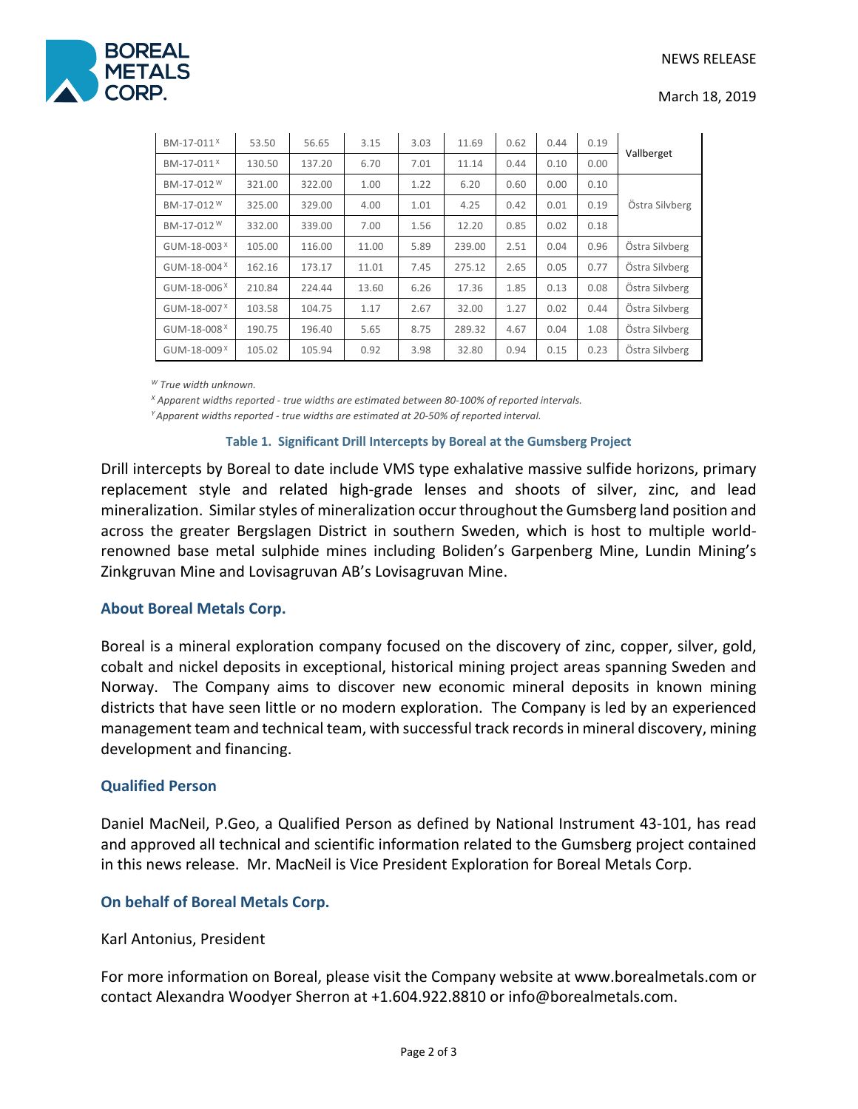

#### March 18, 2019

| BM-17-011 <sup>X</sup>   | 53.50  | 56.65  | 3.15  | 3.03 | 11.69  | 0.62 | 0.44 | 0.19 | Vallberget     |
|--------------------------|--------|--------|-------|------|--------|------|------|------|----------------|
| BM-17-011 <sup>X</sup>   | 130.50 | 137.20 | 6.70  | 7.01 | 11.14  | 0.44 | 0.10 | 0.00 |                |
| BM-17-012 W              | 321.00 | 322.00 | 1.00  | 1.22 | 6.20   | 0.60 | 0.00 | 0.10 |                |
| BM-17-012 <sup>W</sup>   | 325.00 | 329.00 | 4.00  | 1.01 | 4.25   | 0.42 | 0.01 | 0.19 | Östra Silvberg |
| BM-17-012 W              | 332.00 | 339.00 | 7.00  | 1.56 | 12.20  | 0.85 | 0.02 | 0.18 |                |
| GUM-18-003 $^{\text{X}}$ | 105.00 | 116.00 | 11.00 | 5.89 | 239.00 | 2.51 | 0.04 | 0.96 | Östra Silvberg |
| GUM-18-004 $^{\text{X}}$ | 162.16 | 173.17 | 11.01 | 7.45 | 275.12 | 2.65 | 0.05 | 0.77 | Östra Silvberg |
| $GUM-18-006X$            | 210.84 | 224.44 | 13.60 | 6.26 | 17.36  | 1.85 | 0.13 | 0.08 | Östra Silvberg |
| GUM-18-007 $^{\text{X}}$ | 103.58 | 104.75 | 1.17  | 2.67 | 32.00  | 1.27 | 0.02 | 0.44 | Östra Silvberg |
| GUM-18-008 <sup>X</sup>  | 190.75 | 196.40 | 5.65  | 8.75 | 289.32 | 4.67 | 0.04 | 1.08 | Östra Silvberg |
| GUM-18-009 <sup>X</sup>  | 105.02 | 105.94 | 0.92  | 3.98 | 32.80  | 0.94 | 0.15 | 0.23 | Östra Silvberg |

*<sup>W</sup> True width unknown.*

*<sup>X</sup> Apparent widths reported - true widths are estimated between 80-100% of reported intervals. Y Apparent widths reported - true widths are estimated at 20-50% of reported interval.*

#### **Table 1. Significant Drill Intercepts by Boreal at the Gumsberg Project**

Drill intercepts by Boreal to date include VMS type exhalative massive sulfide horizons, primary replacement style and related high-grade lenses and shoots of silver, zinc, and lead mineralization. Similar styles of mineralization occur throughout the Gumsberg land position and across the greater Bergslagen District in southern Sweden, which is host to multiple worldrenowned base metal sulphide mines including Boliden's Garpenberg Mine, Lundin Mining's Zinkgruvan Mine and Lovisagruvan AB's Lovisagruvan Mine.

### **About Boreal Metals Corp.**

Boreal is a mineral exploration company focused on the discovery of zinc, copper, silver, gold, cobalt and nickel deposits in exceptional, historical mining project areas spanning Sweden and Norway. The Company aims to discover new economic mineral deposits in known mining districts that have seen little or no modern exploration. The Company is led by an experienced management team and technical team, with successful track records in mineral discovery, mining development and financing.

### **Qualified Person**

Daniel MacNeil, P.Geo, a Qualified Person as defined by National Instrument 43-101, has read and approved all technical and scientific information related to the Gumsberg project contained in this news release. Mr. MacNeil is Vice President Exploration for Boreal Metals Corp.

### **On behalf of Boreal Metals Corp.**

### Karl Antonius, President

For more information on Boreal, please visit the Company website at www.borealmetals.com or contact Alexandra Woodyer Sherron at +1.604.922.8810 or info@borealmetals.com.